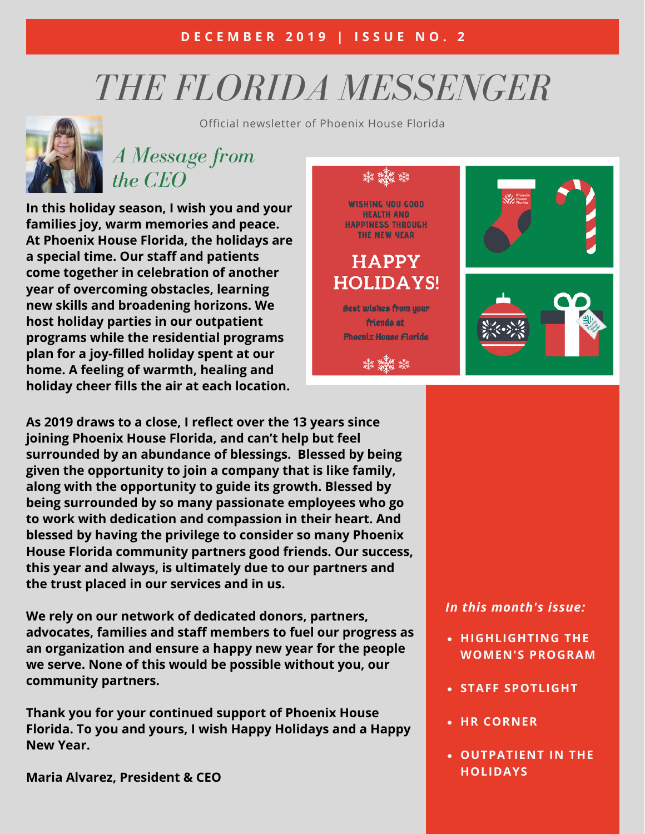# *THE FLORIDA MESSENGER*



Official newsletter of Phoenix House Florida

## *A Message from the CEO*

**In this holiday season, I wish you and your families joy, warm memories and peace. At Phoenix House Florida, the holidays are a special time. Our staff and patients come together in celebration of another year of overcoming obstacles, learning new skills and broadening horizons. We host holiday parties in our outpatient programs while the residential programs plan for a joy-filled holiday spent at our home. A feeling of warmth, healing and holiday cheer fills the air at each location.**



**As 2019 draws to a close, I reflect over the 13 years since joining Phoenix House Florida, and can't help but feel surrounded by an abundance of blessings. Blessed by being given the opportunity to join a company that is like family, along with the opportunity to guide its growth. Blessed by being surrounded by so many passionate employees who go to work with dedication and compassion in their heart. And blessed by having the privilege to consider so many Phoenix House Florida community partners good friends. Our success, this year and always, is ultimately due to our partners and the trust placed in our services and in us.**

**We rely on our network of dedicated donors, partners, advocates, families and staff members to fuel our progress as an organization and ensure a happy new year for the people we serve. None of this would be possible without you, our community partners.**

**Thank you for your continued support of Phoenix House Florida. To you and yours, I wish Happy Holidays and a Happy New Year.**

**Maria Alvarez, President & CEO**

#### *In this month's issue:*

- **HIGHLIGHTING THE WOMEN'S PROGRAM**
- **STAFF SPOTLIGHT**
- **HR CORNER**
- **OUTPATIENT IN THE HOLIDAYS**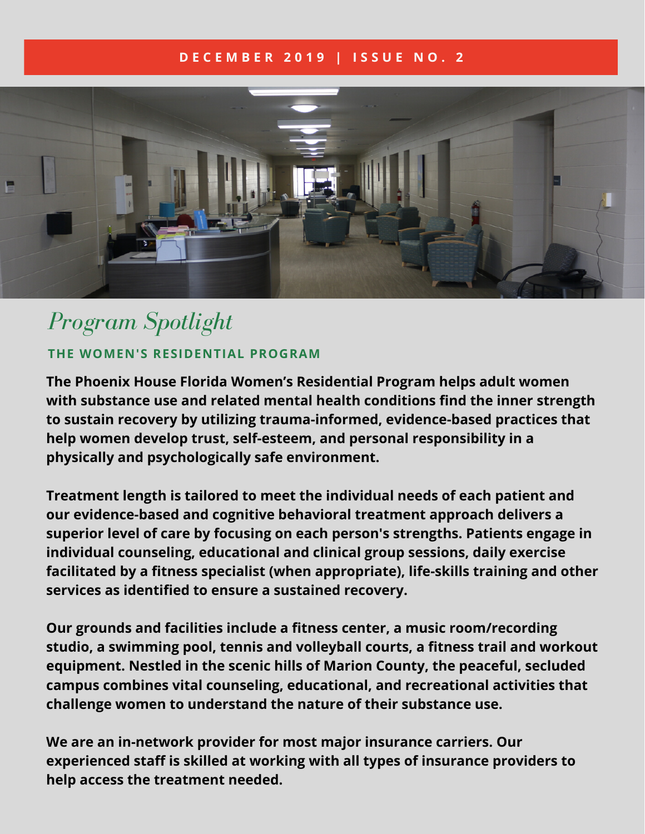#### **D E C E M B E R 2 0 1 9 | I S S U E N O . 2**



# *Program Spotlight* **THE WOMEN'S RESIDENTIAL PROGRAM**

**The Phoenix House Florida Women's Residential Program helps adult women with substance use and related mental health conditions find the inner strength to sustain recovery by utilizing trauma-informed, evidence-based practices that help women develop trust, self-esteem, and personal responsibility in a physically and psychologically safe environment.**

**Treatment length is tailored to meet the individual needs of each patient and our evidence-based and cognitive behavioral treatment approach delivers a superior level of care by focusing on each person's strengths. Patients engage in individual counseling, educational and clinical group sessions, daily exercise facilitated by a fitness specialist (when appropriate), life-skills training and other services as identified to ensure a sustained recovery.**

**Our grounds and facilities include a fitness center, a music room/recording studio, a swimming pool, tennis and volleyball courts, a fitness trail and workout equipment. Nestled in the scenic hills of Marion County, the peaceful, secluded campus combines vital counseling, educational, and recreational activities that challenge women to understand the nature of their substance use.**

**We are an in-network provider for most major insurance carriers. Our experienced staff is skilled at working with all types of insurance providers to help access the treatment needed.**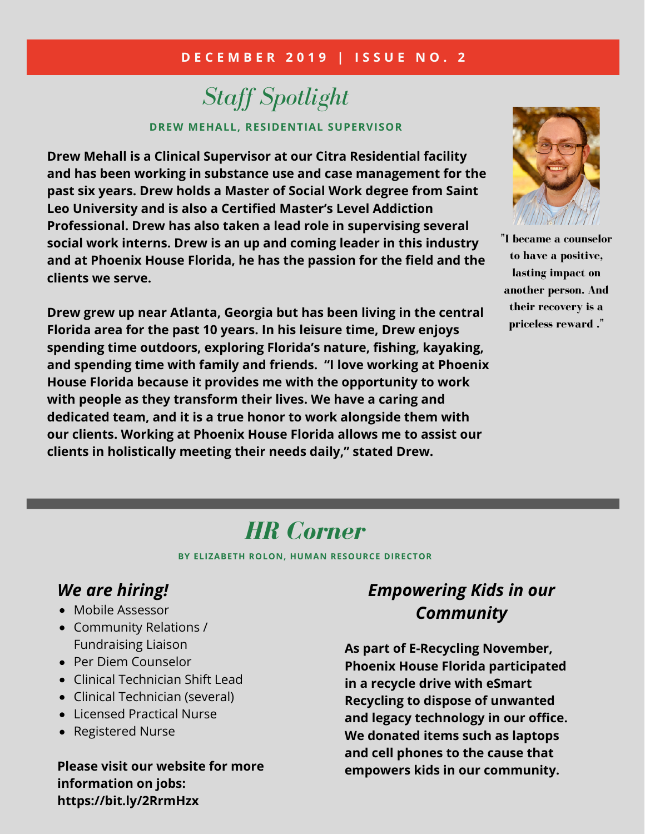#### **D E C E M B E R 2 0 1 9 | I S S U E N O . 2**

## *Staff Spotlight* **DREW MEHALL, RESIDENTIAL SUPERVISOR**

**Drew Mehall is a Clinical Supervisor at our Citra Residential facility and has been working in substance use and case management for the past six years. Drew holds a Master of Social Work degree from Saint Leo University and is also a Certified Master's Level Addiction Professional. Drew has also taken a lead role in supervising several social work interns. Drew is an up and coming leader in this industry and at Phoenix House Florida, he has the passion for the field and the clients we serve.**

**Drew grew up near Atlanta, Georgia but has been living in the central Florida area for the past 10 years. In his leisure time, Drew enjoys spending time outdoors, exploring Florida's nature, fishing, kayaking, and spending time with family and friends. "I love working at Phoenix House Florida because it provides me with the opportunity to work with people as they transform their lives. We have a caring and dedicated team, and it is a true honor to work alongside them with our clients. Working at Phoenix House Florida allows me to assist our clients in holistically meeting their needs daily," stated Drew.**



**"I became a counselor to have a positive, lasting impact on another person. And their recovery is a priceless reward ."**

# *HR Corner*

**BY ELIZABETH ROLON, HUMAN RESOURCE DIRECTOR**

### *We are hiring!*

- Mobile Assessor
- Community Relations / Fundraising Liaison
- Per Diem Counselor
- Clinical Technician Shift Lead
- Clinical Technician (several)
- Licensed Practical Nurse
- Registered Nurse

**Please visit our website for more information on jobs: https://bit.ly/2RrmHzx**

## *Empowering Kids in our Community*

**As part of E-Recycling November, Phoenix House Florida participated in a recycle drive with eSmart Recycling to dispose of unwanted and legacy technology in our office. We donated items such as laptops and cell phones to the cause that empowers kids in our community.**